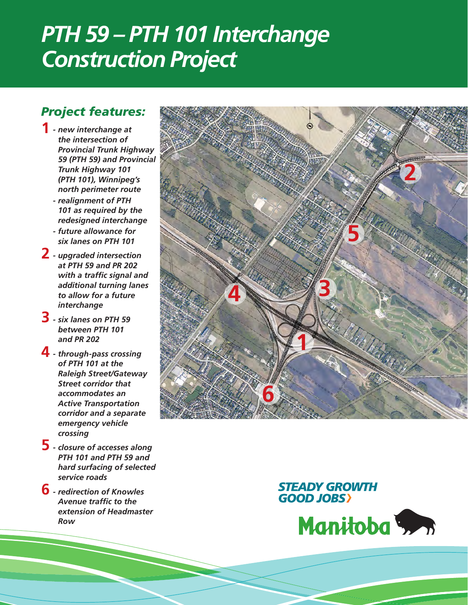# *PTH 59 – PTH 101 Interchange Construction Project*

## *Project features:*

- *new interchange at*  **1** *the intersection of Provincial Trunk Highway 59 (PTH 59) and Provincial Trunk Highway 101 (PTH 101), Winnipeg's north perimeter route - realignment of PTH 101 as required by the redesigned interchange*
	- *- future allowance for six lanes on PTH 101*
- *- upgraded intersection*  **2** *at PTH 59 and PR 202 with a traffic signal and additional turning lanes to allow for a future interchange*
- *- six lanes on PTH 59*  **3** *between PTH 101 and PR 202*
- *- through-pass crossing*  **4** *of PTH 101 at the Raleigh Street/Gateway Street corridor that accommodates an Active Transportation corridor and a separate emergency vehicle crossing*
- *- closure of accesses along*  **5** *PTH 101 and PTH 59 and hard surfacing of selected service roads*
- *- redirection of Knowles*  **6***Avenue traffic to the extension of Headmaster Row*



#### **STEADY GROWTH GOOD JOBS**